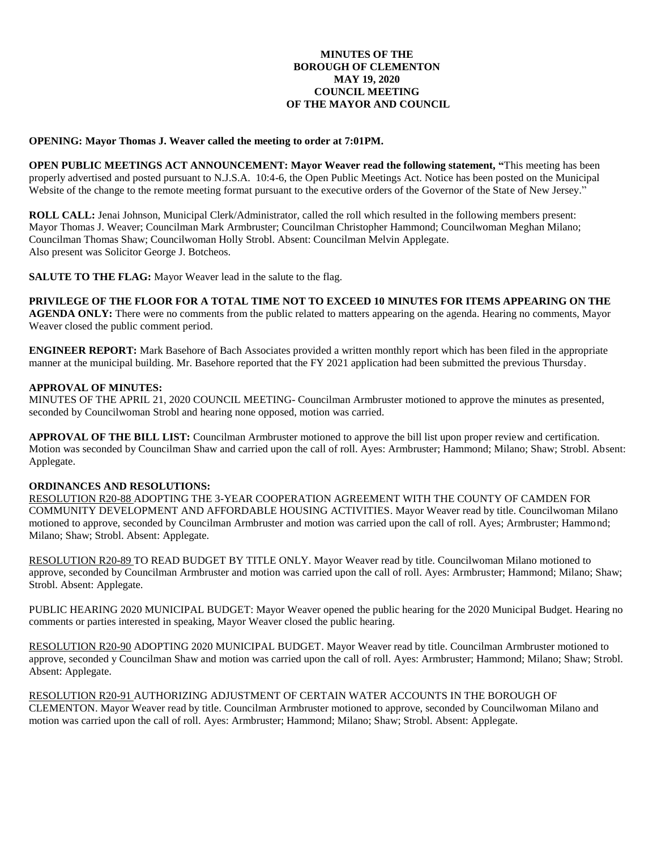## **MINUTES OF THE BOROUGH OF CLEMENTON MAY 19, 2020 COUNCIL MEETING OF THE MAYOR AND COUNCIL**

#### **OPENING: Mayor Thomas J. Weaver called the meeting to order at 7:01PM.**

**OPEN PUBLIC MEETINGS ACT ANNOUNCEMENT: Mayor Weaver read the following statement, "**This meeting has been properly advertised and posted pursuant to N.J.S.A. 10:4-6, the Open Public Meetings Act. Notice has been posted on the Municipal Website of the change to the remote meeting format pursuant to the executive orders of the Governor of the State of New Jersey."

**ROLL CALL:** Jenai Johnson, Municipal Clerk/Administrator, called the roll which resulted in the following members present: Mayor Thomas J. Weaver; Councilman Mark Armbruster; Councilman Christopher Hammond; Councilwoman Meghan Milano; Councilman Thomas Shaw; Councilwoman Holly Strobl. Absent: Councilman Melvin Applegate. Also present was Solicitor George J. Botcheos.

**SALUTE TO THE FLAG:** Mayor Weaver lead in the salute to the flag.

# **PRIVILEGE OF THE FLOOR FOR A TOTAL TIME NOT TO EXCEED 10 MINUTES FOR ITEMS APPEARING ON THE**

**AGENDA ONLY:** There were no comments from the public related to matters appearing on the agenda. Hearing no comments, Mayor Weaver closed the public comment period.

**ENGINEER REPORT:** Mark Basehore of Bach Associates provided a written monthly report which has been filed in the appropriate manner at the municipal building. Mr. Basehore reported that the FY 2021 application had been submitted the previous Thursday.

#### **APPROVAL OF MINUTES:**

MINUTES OF THE APRIL 21, 2020 COUNCIL MEETING- Councilman Armbruster motioned to approve the minutes as presented, seconded by Councilwoman Strobl and hearing none opposed, motion was carried.

**APPROVAL OF THE BILL LIST:** Councilman Armbruster motioned to approve the bill list upon proper review and certification. Motion was seconded by Councilman Shaw and carried upon the call of roll. Ayes: Armbruster; Hammond; Milano; Shaw; Strobl. Absent: Applegate.

## **ORDINANCES AND RESOLUTIONS:**

RESOLUTION R20-88 ADOPTING THE 3-YEAR COOPERATION AGREEMENT WITH THE COUNTY OF CAMDEN FOR COMMUNITY DEVELOPMENT AND AFFORDABLE HOUSING ACTIVITIES. Mayor Weaver read by title. Councilwoman Milano motioned to approve, seconded by Councilman Armbruster and motion was carried upon the call of roll. Ayes; Armbruster; Hammond; Milano; Shaw; Strobl. Absent: Applegate.

RESOLUTION R20-89 TO READ BUDGET BY TITLE ONLY. Mayor Weaver read by title. Councilwoman Milano motioned to approve, seconded by Councilman Armbruster and motion was carried upon the call of roll. Ayes: Armbruster; Hammond; Milano; Shaw; Strobl. Absent: Applegate.

PUBLIC HEARING 2020 MUNICIPAL BUDGET: Mayor Weaver opened the public hearing for the 2020 Municipal Budget. Hearing no comments or parties interested in speaking, Mayor Weaver closed the public hearing.

RESOLUTION R20-90 ADOPTING 2020 MUNICIPAL BUDGET. Mayor Weaver read by title. Councilman Armbruster motioned to approve, seconded y Councilman Shaw and motion was carried upon the call of roll. Ayes: Armbruster; Hammond; Milano; Shaw; Strobl. Absent: Applegate.

RESOLUTION R20-91 AUTHORIZING ADJUSTMENT OF CERTAIN WATER ACCOUNTS IN THE BOROUGH OF CLEMENTON. Mayor Weaver read by title. Councilman Armbruster motioned to approve, seconded by Councilwoman Milano and motion was carried upon the call of roll. Ayes: Armbruster; Hammond; Milano; Shaw; Strobl. Absent: Applegate.